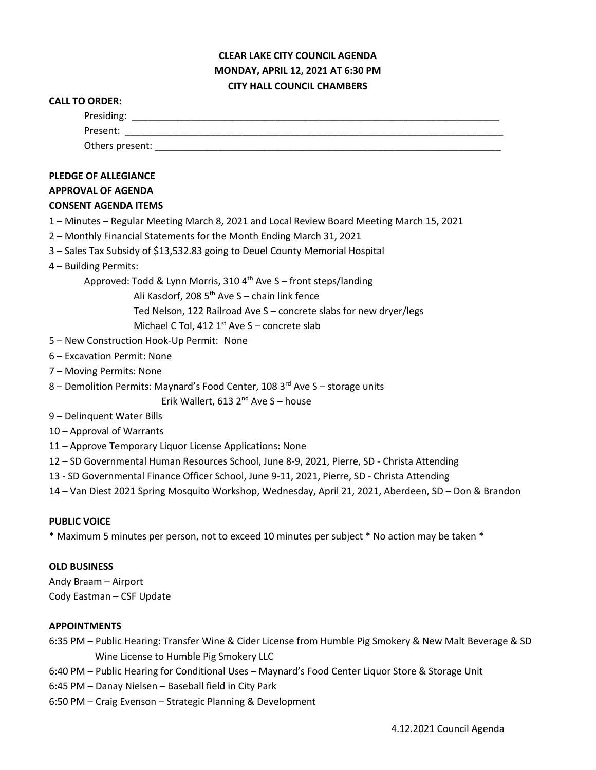## **CLEAR LAKE CITY COUNCIL AGENDA MONDAY, APRIL 12, 2021 AT 6:30 PM CITY HALL COUNCIL CHAMBERS**

# **CALL TO ORDER:** Presiding: \_\_\_\_\_\_\_\_\_\_\_\_\_\_\_\_\_\_\_\_\_\_\_\_\_\_\_\_\_\_\_\_\_\_\_\_\_\_\_\_\_\_\_\_\_\_\_\_\_\_\_\_\_\_\_\_\_\_\_\_\_\_\_\_\_\_\_\_\_ Present: \_\_\_\_\_\_\_\_\_\_\_\_\_\_\_\_\_\_\_\_\_\_\_\_\_\_\_\_\_\_\_\_\_\_\_\_\_\_\_\_\_\_\_\_\_\_\_\_\_\_\_\_\_\_\_\_\_\_\_\_\_\_\_\_\_\_\_\_\_\_\_ Others present:  $\Box$ **PLEDGE OF ALLEGIANCE APPROVAL OF AGENDA CONSENT AGENDA ITEMS** 1 – Minutes – Regular Meeting March 8, 2021 and Local Review Board Meeting March 15, 2021 2 – Monthly Financial Statements for the Month Ending March 31, 2021 3 – Sales Tax Subsidy of \$13,532.83 going to Deuel County Memorial Hospital 4 – Building Permits: Approved: Todd & Lynn Morris, 310  $4<sup>th</sup>$  Ave S – front steps/landing Ali Kasdorf, 208  $5<sup>th</sup>$  Ave S – chain link fence Ted Nelson, 122 Railroad Ave S – concrete slabs for new dryer/legs Michael C Tol, 412  $1<sup>st</sup>$  Ave S – concrete slab 5 – New Construction Hook-Up Permit: None 6 – Excavation Permit: None 7 – Moving Permits: None 8 – Demolition Permits: Maynard's Food Center, 108 3<sup>rd</sup> Ave S – storage units Erik Wallert, 613  $2^{nd}$  Ave S – house 9 – Delinquent Water Bills 10 – Approval of Warrants 11 – Approve Temporary Liquor License Applications: None 12 – SD Governmental Human Resources School, June 8-9, 2021, Pierre, SD - Christa Attending 13 - SD Governmental Finance Officer School, June 9-11, 2021, Pierre, SD - Christa Attending 14 – Van Diest 2021 Spring Mosquito Workshop, Wednesday, April 21, 2021, Aberdeen, SD – Don & Brandon **PUBLIC VOICE** \* Maximum 5 minutes per person, not to exceed 10 minutes per subject \* No action may be taken \* **OLD BUSINESS**

Andy Braam – Airport Cody Eastman – CSF Update

### **APPOINTMENTS**

6:35 PM – Public Hearing: Transfer Wine & Cider License from Humble Pig Smokery & New Malt Beverage & SD Wine License to Humble Pig Smokery LLC

6:40 PM – Public Hearing for Conditional Uses – Maynard's Food Center Liquor Store & Storage Unit

6:45 PM – Danay Nielsen – Baseball field in City Park

6:50 PM – Craig Evenson – Strategic Planning & Development